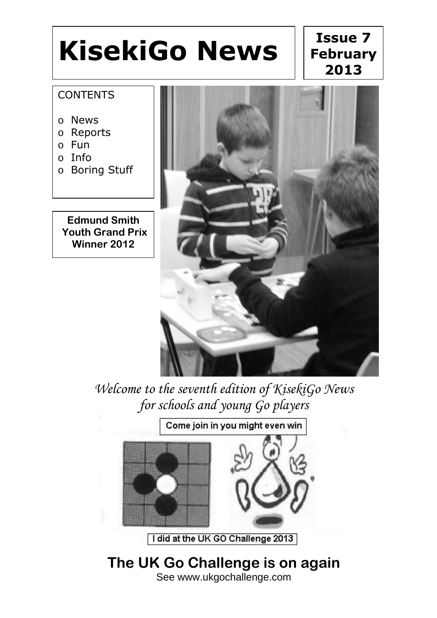# **KisekiGo News**

## **Issue 7 February 2013**

#### **CONTENTS**

- o News
- o Reports
- o Fun
- o Info
- o Boring Stuff

**Edmund Smith Youth Grand Prix Winner 2012**



*Welcome to the seventh edition of KisekiGo News for schools and young Go players*

Come join in you might even win

I did at the UK GO Challenge 2013

**The UK Go Challenge is on again** See www.ukgochallenge.com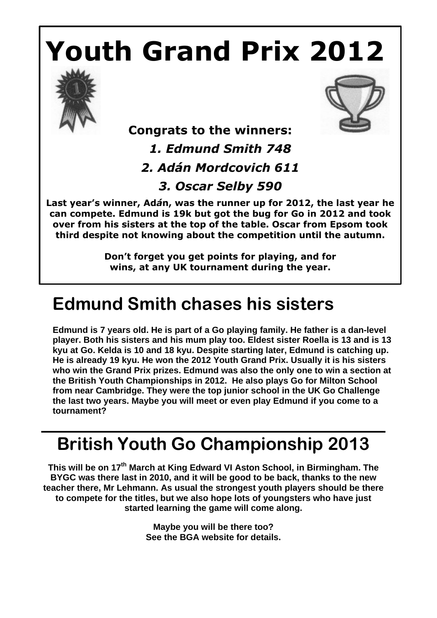# **Youth Grand Prix 2012**





### **Congrats to the winners:**

*1. Edmund Smith 748*

*2. Adán Mordcovich 611*

*3. Oscar Selby 590*

**Last year's winner, Ad***á***n, was the runner up for 2012, the last year he can compete. Edmund is 19k but got the bug for Go in 2012 and took over from his sisters at the top of the table. Oscar from Epsom took third despite not knowing about the competition until the autumn.**

> **Don't forget you get points for playing, and for wins, at any UK tournament during the year.**

## **Edmund Smith chases his sisters**

**Edmund is 7 years old. He is part of a Go playing family. He father is a dan-level player. Both his sisters and his mum play too. Eldest sister Roella is 13 and is 13 kyu at Go. Kelda is 10 and 18 kyu. Despite starting later, Edmund is catching up. He is already 19 kyu. He won the 2012 Youth Grand Prix. Usually it is his sisters who win the Grand Prix prizes. Edmund was also the only one to win a section at the British Youth Championships in 2012. He also plays Go for Milton School from near Cambridge. They were the top junior school in the UK Go Challenge the last two years. Maybe you will meet or even play Edmund if you come to a tournament?**

## **British Youth Go Championship 2013**

**This will be on 17 th March at King Edward VI Aston School, in Birmingham. The BYGC was there last in 2010, and it will be good to be back, thanks to the new teacher there, Mr Lehmann. As usual the strongest youth players should be there to compete for the titles, but we also hope lots of youngsters who have just started learning the game will come along.** 

> **Maybe you will be there too? See the BGA website for details.**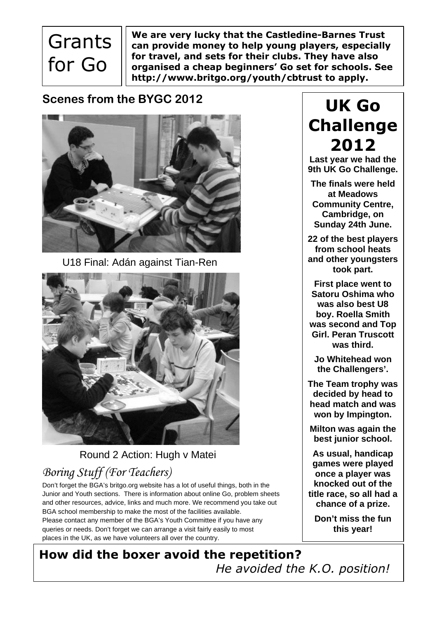**Grants** for Go

**We are very lucky that the Castledine-Barnes Trust can provide money to help young players, especially for travel, and sets for their clubs. They have also organised a cheap beginners' Go set for schools. See http://www.britgo.org/youth/cbtrust to apply.**

#### **Scenes from the BYGC 2012**



U18 Final: Adán against Tian-Ren



Round 2 Action: Hugh v Matei

### *Boring Stuff (For Teachers)*

Don't forget the BGA's britgo.org website has a lot of useful things, both in the Junior and Youth sections. There is information about online Go, problem sheets and other resources, advice, links and much more. We recommend you take out BGA school membership to make the most of the facilities available. Please contact any member of the BGA's Youth Committee if you have any queries or needs. Don't forget we can arrange a visit fairly easily to most places in the UK, as we have volunteers all over the country.

## **UK Go Challenge 2012**

**Last year we had the 9th UK Go Challenge.**

**The finals were held at Meadows Community Centre, Cambridge, on Sunday 24th June.**

**22 of the best players from school heats and other youngsters took part.** 

**First place went to Satoru Oshima who was also best U8 boy. Roella Smith was second and Top Girl. Peran Truscott was third.** 

**Jo Whitehead won the Challengers'.**

**The Team trophy was decided by head to head match and was won by Impington.** 

**Milton was again the best junior school.**

**As usual, handicap games were played once a player was knocked out of the title race, so all had a chance of a prize.**

**Don't miss the fun this year!** 

**How did the boxer avoid the repetition?** *He avoided the K.O. position!*